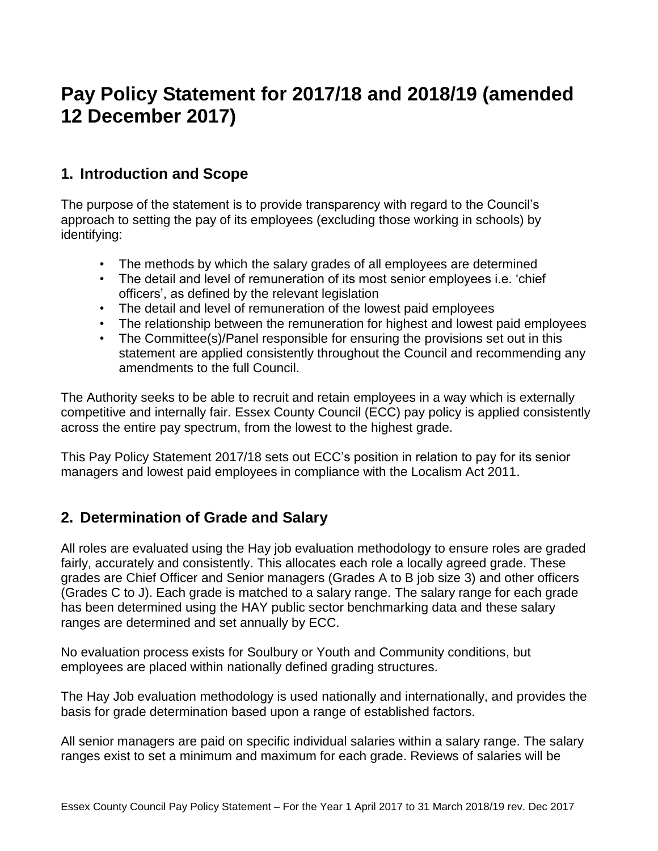# **Pay Policy Statement for 2017/18 and 2018/19 (amended 12 December 2017)**

# **1. Introduction and Scope**

The purpose of the statement is to provide transparency with regard to the Council's approach to setting the pay of its employees (excluding those working in schools) by identifying:

- The methods by which the salary grades of all employees are determined
- The detail and level of remuneration of its most senior employees i.e. 'chief officers', as defined by the relevant legislation
- The detail and level of remuneration of the lowest paid employees
- The relationship between the remuneration for highest and lowest paid employees
- The Committee(s)/Panel responsible for ensuring the provisions set out in this statement are applied consistently throughout the Council and recommending any amendments to the full Council.

The Authority seeks to be able to recruit and retain employees in a way which is externally competitive and internally fair. Essex County Council (ECC) pay policy is applied consistently across the entire pay spectrum, from the lowest to the highest grade.

This Pay Policy Statement 2017/18 sets out ECC's position in relation to pay for its senior managers and lowest paid employees in compliance with the Localism Act 2011.

### **2. Determination of Grade and Salary**

All roles are evaluated using the Hay job evaluation methodology to ensure roles are graded fairly, accurately and consistently. This allocates each role a locally agreed grade. These grades are Chief Officer and Senior managers (Grades A to B job size 3) and other officers (Grades C to J). Each grade is matched to a salary range. The salary range for each grade has been determined using the HAY public sector benchmarking data and these salary ranges are determined and set annually by ECC.

No evaluation process exists for Soulbury or Youth and Community conditions, but employees are placed within nationally defined grading structures.

The Hay Job evaluation methodology is used nationally and internationally, and provides the basis for grade determination based upon a range of established factors.

All senior managers are paid on specific individual salaries within a salary range. The salary ranges exist to set a minimum and maximum for each grade. Reviews of salaries will be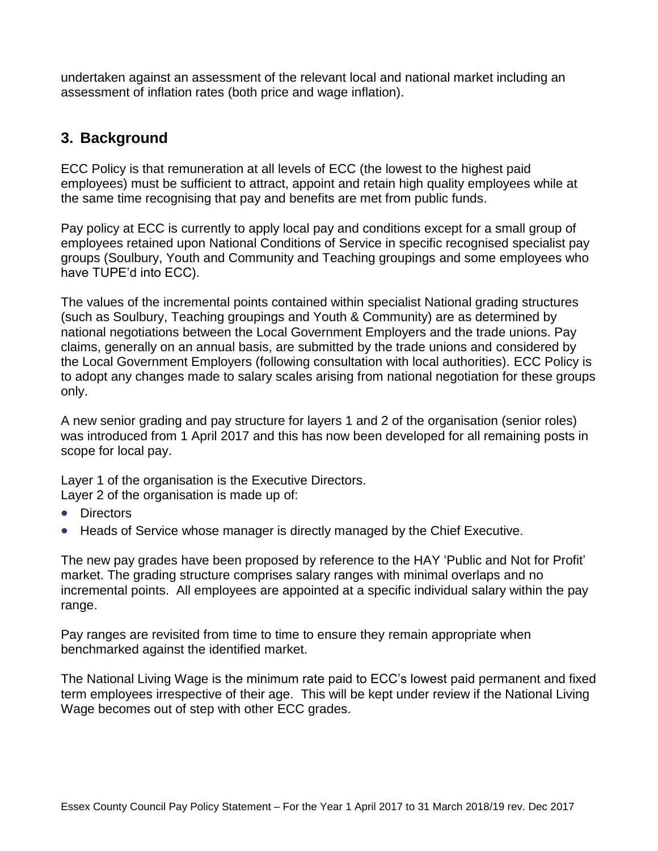undertaken against an assessment of the relevant local and national market including an assessment of inflation rates (both price and wage inflation).

# **3. Background**

ECC Policy is that remuneration at all levels of ECC (the lowest to the highest paid employees) must be sufficient to attract, appoint and retain high quality employees while at the same time recognising that pay and benefits are met from public funds.

Pay policy at ECC is currently to apply local pay and conditions except for a small group of employees retained upon National Conditions of Service in specific recognised specialist pay groups (Soulbury, Youth and Community and Teaching groupings and some employees who have TUPE'd into ECC).

The values of the incremental points contained within specialist National grading structures (such as Soulbury, Teaching groupings and Youth & Community) are as determined by national negotiations between the Local Government Employers and the trade unions. Pay claims, generally on an annual basis, are submitted by the trade unions and considered by the Local Government Employers (following consultation with local authorities). ECC Policy is to adopt any changes made to salary scales arising from national negotiation for these groups only.

A new senior grading and pay structure for layers 1 and 2 of the organisation (senior roles) was introduced from 1 April 2017 and this has now been developed for all remaining posts in scope for local pay.

Layer 1 of the organisation is the Executive Directors. Layer 2 of the organisation is made up of:

- Directors
- Heads of Service whose manager is directly managed by the Chief Executive.

The new pay grades have been proposed by reference to the HAY 'Public and Not for Profit' market. The grading structure comprises salary ranges with minimal overlaps and no incremental points. All employees are appointed at a specific individual salary within the pay range.

Pay ranges are revisited from time to time to ensure they remain appropriate when benchmarked against the identified market.

The National Living Wage is the minimum rate paid to ECC's lowest paid permanent and fixed term employees irrespective of their age. This will be kept under review if the National Living Wage becomes out of step with other ECC grades.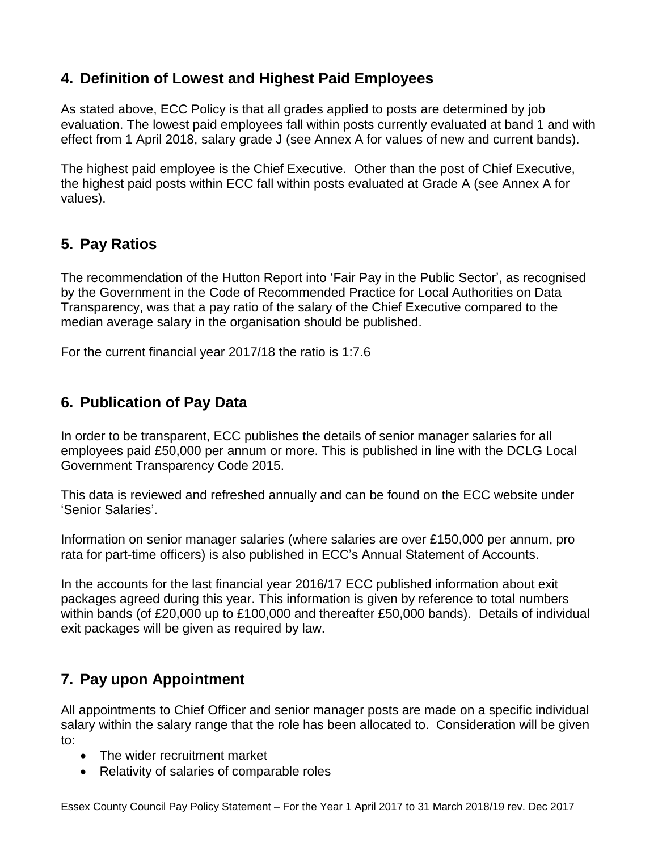# **4. Definition of Lowest and Highest Paid Employees**

As stated above, ECC Policy is that all grades applied to posts are determined by job evaluation. The lowest paid employees fall within posts currently evaluated at band 1 and with effect from 1 April 2018, salary grade J (see Annex A for values of new and current bands).

The highest paid employee is the Chief Executive. Other than the post of Chief Executive, the highest paid posts within ECC fall within posts evaluated at Grade A (see Annex A for values).

# **5. Pay Ratios**

The recommendation of the Hutton Report into 'Fair Pay in the Public Sector', as recognised by the Government in the Code of Recommended Practice for Local Authorities on Data Transparency, was that a pay ratio of the salary of the Chief Executive compared to the median average salary in the organisation should be published.

For the current financial year 2017/18 the ratio is 1:7.6

# **6. Publication of Pay Data**

In order to be transparent, ECC publishes the details of senior manager salaries for all employees paid £50,000 per annum or more. This is published in line with the DCLG Local Government Transparency Code 2015.

This data is reviewed and refreshed annually and can be found on the ECC website under 'Senior Salaries'.

Information on senior manager salaries (where salaries are over £150,000 per annum, pro rata for part-time officers) is also published in ECC's Annual Statement of Accounts.

In the accounts for the last financial year 2016/17 ECC published information about exit packages agreed during this year. This information is given by reference to total numbers within bands (of £20,000 up to £100,000 and thereafter £50,000 bands). Details of individual exit packages will be given as required by law.

# **7. Pay upon Appointment**

All appointments to Chief Officer and senior manager posts are made on a specific individual salary within the salary range that the role has been allocated to. Consideration will be given to:

- The wider recruitment market
- Relativity of salaries of comparable roles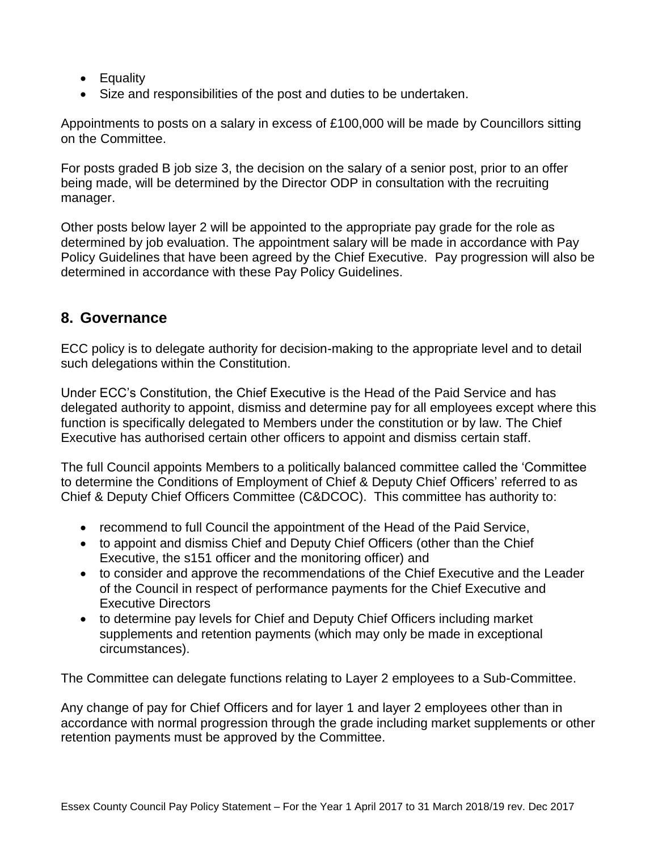- Equality
- Size and responsibilities of the post and duties to be undertaken.

Appointments to posts on a salary in excess of £100,000 will be made by Councillors sitting on the Committee.

For posts graded B job size 3, the decision on the salary of a senior post, prior to an offer being made, will be determined by the Director ODP in consultation with the recruiting manager.

Other posts below layer 2 will be appointed to the appropriate pay grade for the role as determined by job evaluation. The appointment salary will be made in accordance with Pay Policy Guidelines that have been agreed by the Chief Executive. Pay progression will also be determined in accordance with these Pay Policy Guidelines.

# **8. Governance**

ECC policy is to delegate authority for decision-making to the appropriate level and to detail such delegations within the Constitution.

Under ECC's Constitution, the Chief Executive is the Head of the Paid Service and has delegated authority to appoint, dismiss and determine pay for all employees except where this function is specifically delegated to Members under the constitution or by law. The Chief Executive has authorised certain other officers to appoint and dismiss certain staff.

The full Council appoints Members to a politically balanced committee called the 'Committee to determine the Conditions of Employment of Chief & Deputy Chief Officers' referred to as Chief & Deputy Chief Officers Committee (C&DCOC). This committee has authority to:

- recommend to full Council the appointment of the Head of the Paid Service,
- to appoint and dismiss Chief and Deputy Chief Officers (other than the Chief Executive, the s151 officer and the monitoring officer) and
- to consider and approve the recommendations of the Chief Executive and the Leader of the Council in respect of performance payments for the Chief Executive and Executive Directors
- to determine pay levels for Chief and Deputy Chief Officers including market supplements and retention payments (which may only be made in exceptional circumstances).

The Committee can delegate functions relating to Layer 2 employees to a Sub-Committee.

Any change of pay for Chief Officers and for layer 1 and layer 2 employees other than in accordance with normal progression through the grade including market supplements or other retention payments must be approved by the Committee.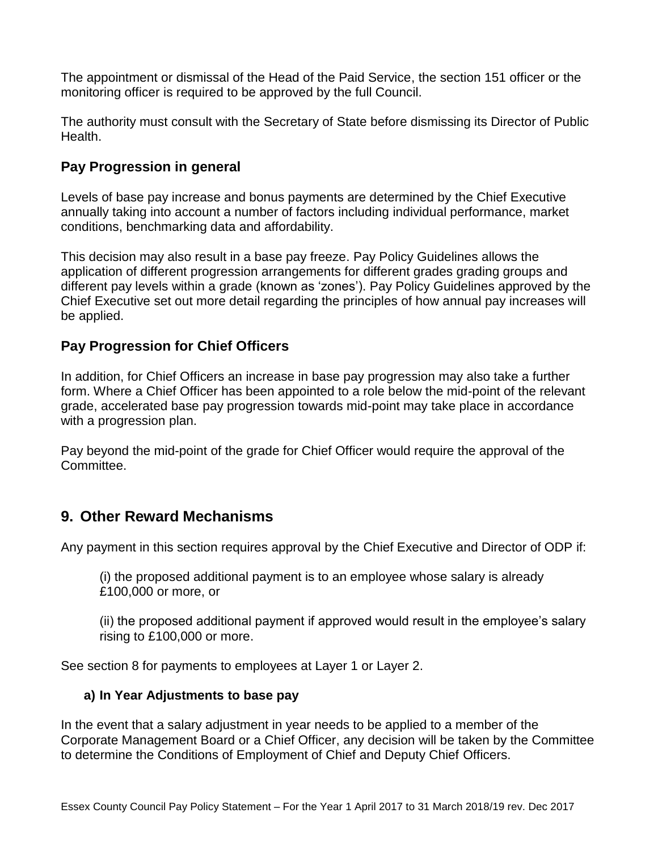The appointment or dismissal of the Head of the Paid Service, the section 151 officer or the monitoring officer is required to be approved by the full Council.

The authority must consult with the Secretary of State before dismissing its Director of Public Health.

#### **Pay Progression in general**

Levels of base pay increase and bonus payments are determined by the Chief Executive annually taking into account a number of factors including individual performance, market conditions, benchmarking data and affordability.

This decision may also result in a base pay freeze. Pay Policy Guidelines allows the application of different progression arrangements for different grades grading groups and different pay levels within a grade (known as 'zones'). Pay Policy Guidelines approved by the Chief Executive set out more detail regarding the principles of how annual pay increases will be applied.

### **Pay Progression for Chief Officers**

In addition, for Chief Officers an increase in base pay progression may also take a further form. Where a Chief Officer has been appointed to a role below the mid-point of the relevant grade, accelerated base pay progression towards mid-point may take place in accordance with a progression plan.

Pay beyond the mid-point of the grade for Chief Officer would require the approval of the Committee.

### **9. Other Reward Mechanisms**

Any payment in this section requires approval by the Chief Executive and Director of ODP if:

(i) the proposed additional payment is to an employee whose salary is already £100,000 or more, or

(ii) the proposed additional payment if approved would result in the employee's salary rising to £100,000 or more.

See section 8 for payments to employees at Layer 1 or Layer 2.

#### **a) In Year Adjustments to base pay**

In the event that a salary adjustment in year needs to be applied to a member of the Corporate Management Board or a Chief Officer, any decision will be taken by the Committee to determine the Conditions of Employment of Chief and Deputy Chief Officers.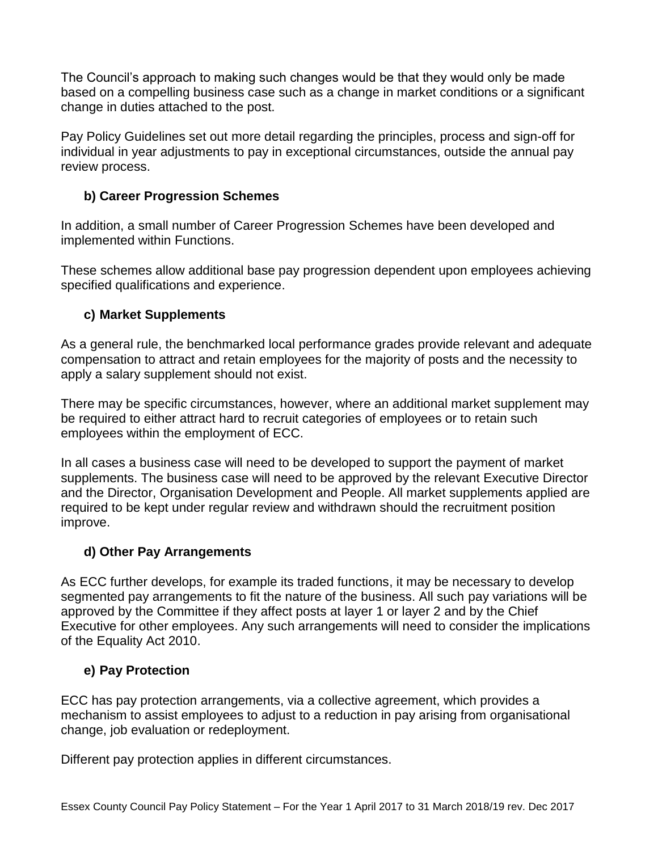The Council's approach to making such changes would be that they would only be made based on a compelling business case such as a change in market conditions or a significant change in duties attached to the post.

Pay Policy Guidelines set out more detail regarding the principles, process and sign-off for individual in year adjustments to pay in exceptional circumstances, outside the annual pay review process.

#### **b) Career Progression Schemes**

In addition, a small number of Career Progression Schemes have been developed and implemented within Functions.

These schemes allow additional base pay progression dependent upon employees achieving specified qualifications and experience.

### **c) Market Supplements**

As a general rule, the benchmarked local performance grades provide relevant and adequate compensation to attract and retain employees for the majority of posts and the necessity to apply a salary supplement should not exist.

There may be specific circumstances, however, where an additional market supplement may be required to either attract hard to recruit categories of employees or to retain such employees within the employment of ECC.

In all cases a business case will need to be developed to support the payment of market supplements. The business case will need to be approved by the relevant Executive Director and the Director, Organisation Development and People. All market supplements applied are required to be kept under regular review and withdrawn should the recruitment position improve.

### **d) Other Pay Arrangements**

As ECC further develops, for example its traded functions, it may be necessary to develop segmented pay arrangements to fit the nature of the business. All such pay variations will be approved by the Committee if they affect posts at layer 1 or layer 2 and by the Chief Executive for other employees. Any such arrangements will need to consider the implications of the Equality Act 2010.

### **e) Pay Protection**

ECC has pay protection arrangements, via a collective agreement, which provides a mechanism to assist employees to adjust to a reduction in pay arising from organisational change, job evaluation or redeployment.

Different pay protection applies in different circumstances.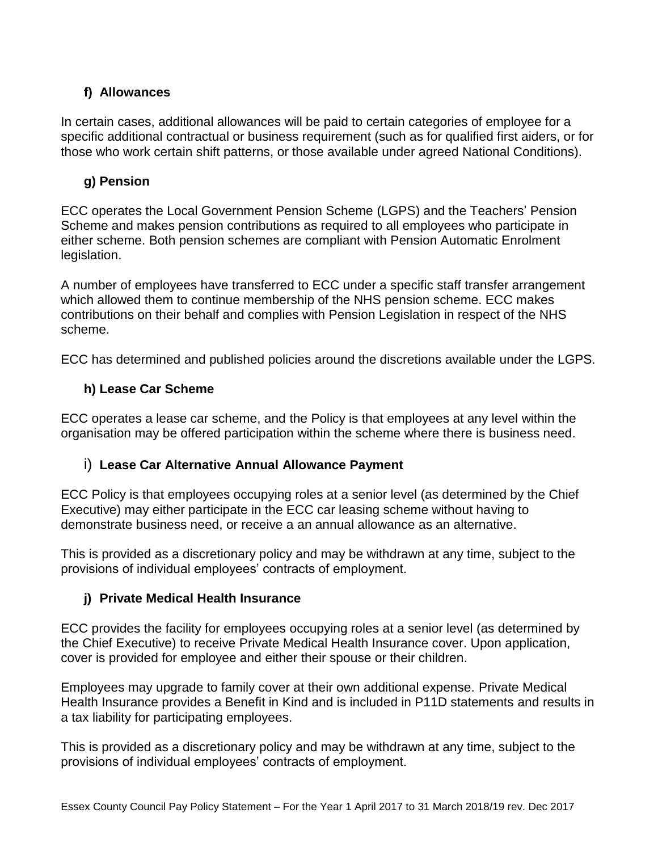### **f) Allowances**

In certain cases, additional allowances will be paid to certain categories of employee for a specific additional contractual or business requirement (such as for qualified first aiders, or for those who work certain shift patterns, or those available under agreed National Conditions).

### **g) Pension**

ECC operates the Local Government Pension Scheme (LGPS) and the Teachers' Pension Scheme and makes pension contributions as required to all employees who participate in either scheme. Both pension schemes are compliant with Pension Automatic Enrolment legislation.

A number of employees have transferred to ECC under a specific staff transfer arrangement which allowed them to continue membership of the NHS pension scheme. ECC makes contributions on their behalf and complies with Pension Legislation in respect of the NHS scheme.

ECC has determined and published policies around the discretions available under the LGPS.

### **h) Lease Car Scheme**

ECC operates a lease car scheme, and the Policy is that employees at any level within the organisation may be offered participation within the scheme where there is business need.

### i) **Lease Car Alternative Annual Allowance Payment**

ECC Policy is that employees occupying roles at a senior level (as determined by the Chief Executive) may either participate in the ECC car leasing scheme without having to demonstrate business need, or receive a an annual allowance as an alternative.

This is provided as a discretionary policy and may be withdrawn at any time, subject to the provisions of individual employees' contracts of employment.

### **j) Private Medical Health Insurance**

ECC provides the facility for employees occupying roles at a senior level (as determined by the Chief Executive) to receive Private Medical Health Insurance cover. Upon application, cover is provided for employee and either their spouse or their children.

Employees may upgrade to family cover at their own additional expense. Private Medical Health Insurance provides a Benefit in Kind and is included in P11D statements and results in a tax liability for participating employees.

This is provided as a discretionary policy and may be withdrawn at any time, subject to the provisions of individual employees' contracts of employment.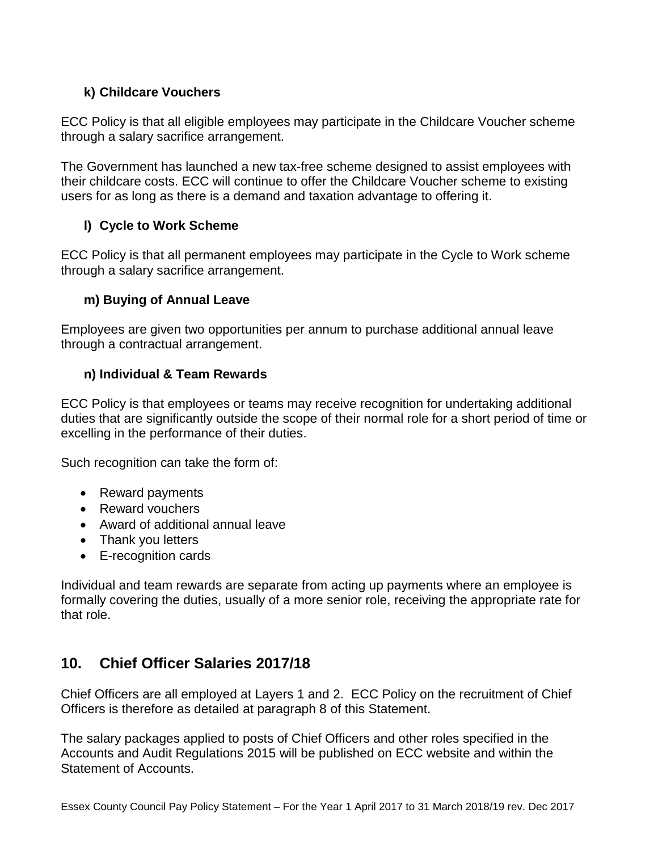#### **k) Childcare Vouchers**

ECC Policy is that all eligible employees may participate in the Childcare Voucher scheme through a salary sacrifice arrangement.

The Government has launched a new tax-free scheme designed to assist employees with their childcare costs. ECC will continue to offer the Childcare Voucher scheme to existing users for as long as there is a demand and taxation advantage to offering it.

### **l) Cycle to Work Scheme**

ECC Policy is that all permanent employees may participate in the Cycle to Work scheme through a salary sacrifice arrangement.

#### **m) Buying of Annual Leave**

Employees are given two opportunities per annum to purchase additional annual leave through a contractual arrangement.

#### **n) Individual & Team Rewards**

ECC Policy is that employees or teams may receive recognition for undertaking additional duties that are significantly outside the scope of their normal role for a short period of time or excelling in the performance of their duties.

Such recognition can take the form of:

- Reward payments
- Reward vouchers
- Award of additional annual leave
- Thank you letters
- E-recognition cards

Individual and team rewards are separate from acting up payments where an employee is formally covering the duties, usually of a more senior role, receiving the appropriate rate for that role.

# **10. Chief Officer Salaries 2017/18**

Chief Officers are all employed at Layers 1 and 2. ECC Policy on the recruitment of Chief Officers is therefore as detailed at paragraph 8 of this Statement.

The salary packages applied to posts of Chief Officers and other roles specified in the Accounts and Audit Regulations 2015 will be published on ECC website and within the Statement of Accounts.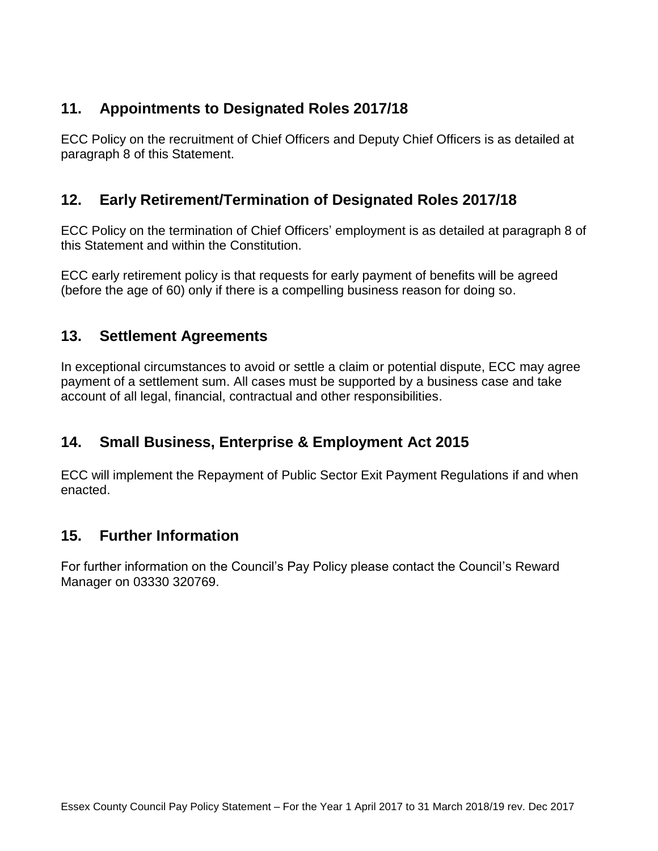# **11. Appointments to Designated Roles 2017/18**

ECC Policy on the recruitment of Chief Officers and Deputy Chief Officers is as detailed at paragraph 8 of this Statement.

# **12. Early Retirement/Termination of Designated Roles 2017/18**

ECC Policy on the termination of Chief Officers' employment is as detailed at paragraph 8 of this Statement and within the Constitution.

ECC early retirement policy is that requests for early payment of benefits will be agreed (before the age of 60) only if there is a compelling business reason for doing so.

### **13. Settlement Agreements**

In exceptional circumstances to avoid or settle a claim or potential dispute, ECC may agree payment of a settlement sum. All cases must be supported by a business case and take account of all legal, financial, contractual and other responsibilities.

# **14. Small Business, Enterprise & Employment Act 2015**

ECC will implement the Repayment of Public Sector Exit Payment Regulations if and when enacted.

### **15. Further Information**

For further information on the Council's Pay Policy please contact the Council's Reward Manager on 03330 320769.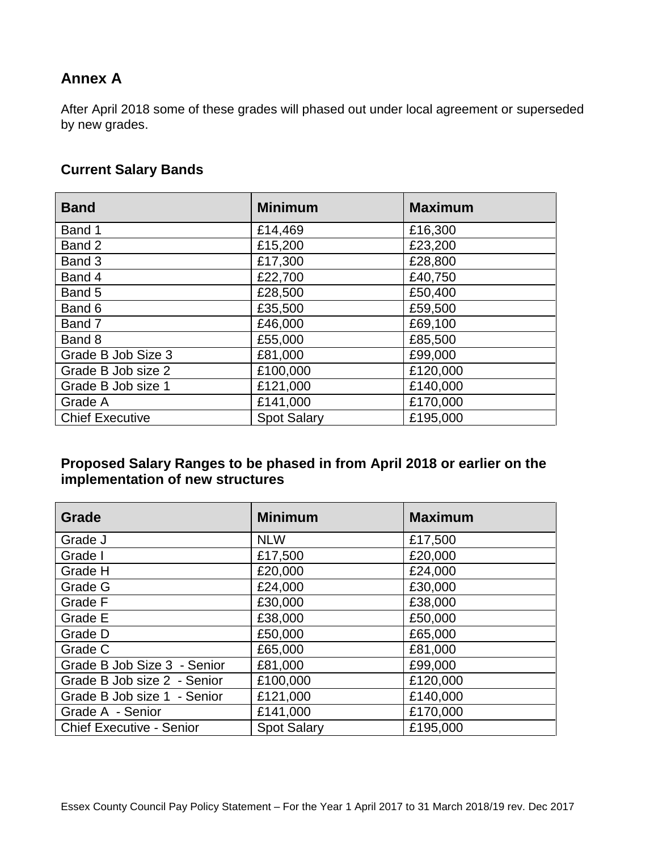# **Annex A**

After April 2018 some of these grades will phased out under local agreement or superseded by new grades.

#### **Current Salary Bands**

| <b>Band</b>            | <b>Minimum</b>     | <b>Maximum</b> |
|------------------------|--------------------|----------------|
| Band 1                 | £14,469            | £16,300        |
| Band 2                 | £15,200            | £23,200        |
| Band 3                 | £17,300            | £28,800        |
| Band 4                 | £22,700            | £40,750        |
| Band 5                 | £28,500            | £50,400        |
| Band 6                 | £35,500            | £59,500        |
| Band 7                 | £46,000            | £69,100        |
| Band 8                 | £55,000            | £85,500        |
| Grade B Job Size 3     | £81,000            | £99,000        |
| Grade B Job size 2     | £100,000           | £120,000       |
| Grade B Job size 1     | £121,000           | £140,000       |
| Grade A                | £141,000           | £170,000       |
| <b>Chief Executive</b> | <b>Spot Salary</b> | £195,000       |

### **Proposed Salary Ranges to be phased in from April 2018 or earlier on the implementation of new structures**

| Grade                           | <b>Minimum</b>     | <b>Maximum</b> |
|---------------------------------|--------------------|----------------|
| Grade J                         | <b>NLW</b>         | £17,500        |
| Grade I                         | £17,500            | £20,000        |
| Grade H                         | £20,000            | £24,000        |
| Grade G                         | £24,000            | £30,000        |
| Grade F                         | £30,000            | £38,000        |
| Grade E                         | £38,000            | £50,000        |
| Grade D                         | £50,000            | £65,000        |
| Grade C                         | £65,000            | £81,000        |
| Grade B Job Size 3 - Senior     | £81,000            | £99,000        |
| Grade B Job size 2 - Senior     | £100,000           | £120,000       |
| Grade B Job size 1 - Senior     | £121,000           | £140,000       |
| Grade A - Senior                | £141,000           | £170,000       |
| <b>Chief Executive - Senior</b> | <b>Spot Salary</b> | £195,000       |